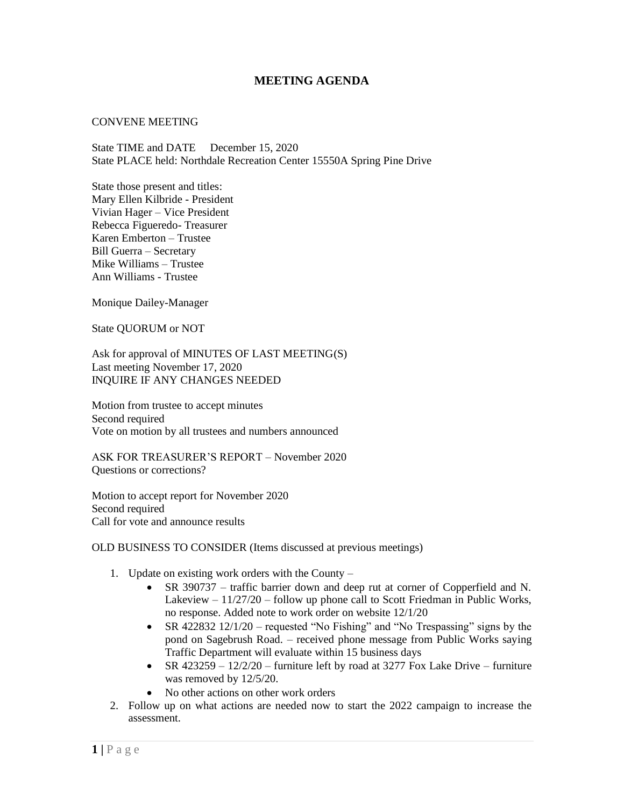## **MEETING AGENDA**

## CONVENE MEETING

State TIME and DATE December 15, 2020 State PLACE held: Northdale Recreation Center 15550A Spring Pine Drive

State those present and titles: Mary Ellen Kilbride - President Vivian Hager – Vice President Rebecca Figueredo- Treasurer Karen Emberton – Trustee Bill Guerra – Secretary Mike Williams – Trustee Ann Williams - Trustee

Monique Dailey-Manager

State QUORUM or NOT

Ask for approval of MINUTES OF LAST MEETING(S) Last meeting November 17, 2020 INQUIRE IF ANY CHANGES NEEDED

Motion from trustee to accept minutes Second required Vote on motion by all trustees and numbers announced

ASK FOR TREASURER'S REPORT – November 2020 Questions or corrections?

Motion to accept report for November 2020 Second required Call for vote and announce results

OLD BUSINESS TO CONSIDER (Items discussed at previous meetings)

- 1. Update on existing work orders with the County
	- SR 390737 traffic barrier down and deep rut at corner of Copperfield and N. Lakeview – 11/27/20 – follow up phone call to Scott Friedman in Public Works, no response. Added note to work order on website 12/1/20
	- SR 422832 12/1/20 requested "No Fishing" and "No Trespassing" signs by the pond on Sagebrush Road. – received phone message from Public Works saying Traffic Department will evaluate within 15 business days
	- SR 423259  $12/2/20$  furniture left by road at 3277 Fox Lake Drive furniture was removed by 12/5/20.
	- No other actions on other work orders
- 2. Follow up on what actions are needed now to start the 2022 campaign to increase the assessment.